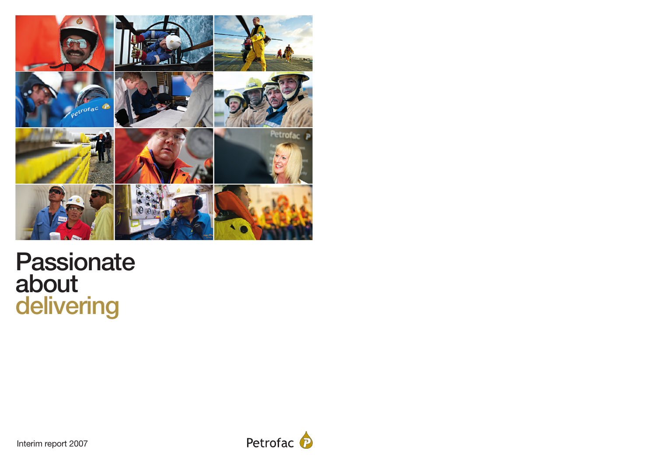

# **Passionate about delivering**



Interim report 2007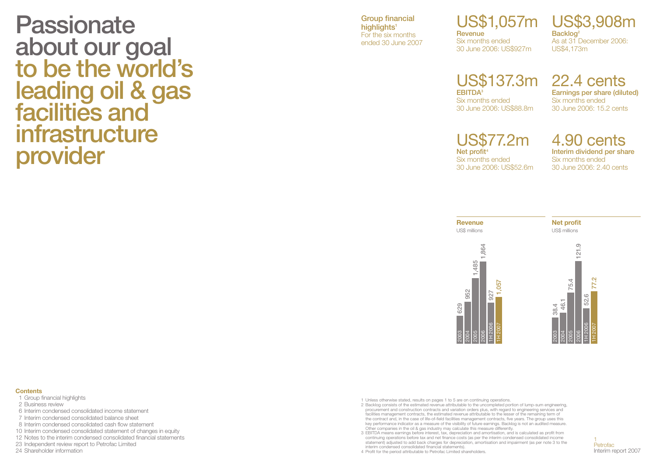**Passionate about our goal to be the world's leading oil & gas facilities and infrastructure provider**

**Group financial highlights1** For the six months ended 30 June 2007

## US\$1,057m US\$3,908m

**Revenue** Six months ended 30 June 2006: US\$927m

**Backlog**<sup>2</sup> As at 31 December 2006: US\$4,173m

## US\$137.3m 22.4 cents **EBITDA3** Six months ended 30 June 2006: US\$88.8m

**Earnings per share (diluted)** Six months ended 30 June 2006: 15.2 cents

US\$77.2m **Net profit4** Six months ended 30 June 2006: US\$52.6m

4.90 cents **Interim dividend per share** Six months ended 30 June 2006: 2.40 cents



#### **Contents**

- 1 Group financial highlights
- 2 Business review
- 6 Interim condensed consolidated income statement
- 7 Interim condensed consolidated balance sheet
- 8 Interim condensed consolidated cash flow statement
- 10 Interim condensed consolidated statement of changes in equity
- 12 Notes to the interim condensed consolidated financial statements
- 23 Independent review report to Petrofac Limited
- 24 Shareholder information

1 Unless otherwise stated, results on pages 1 to 5 are on continuing operations.

- 2 Backlog consists of the estimated revenue attributable to the uncompleted portion of lump-sum engineering, procurement and construction contracts and variation orders plus, with regard to engineering services and facilities management contracts, the estimated revenue attributable to the lesser of the remaining term of the contract and, in the case of life-of-field facilities management contracts, five years. The group uses this key performance indicator as a measure of the visibility of future earnings. Backlog is not an audited measure. Other companies in the oil & gas industry may calculate this measure differently.
- 3 EBITDA means earnings before interest, tax, depreciation and amortisation, and is calculated as profit from continuing operations before tax and net finance costs (as per the interim condensed consolidated income statement) adjusted to add back charges for depreciation, amortisation and impairment (as per note 3 to the interim condensed consolidated financial statements).

4 Profit for the period attributable to Petrofac Limited shareholders.

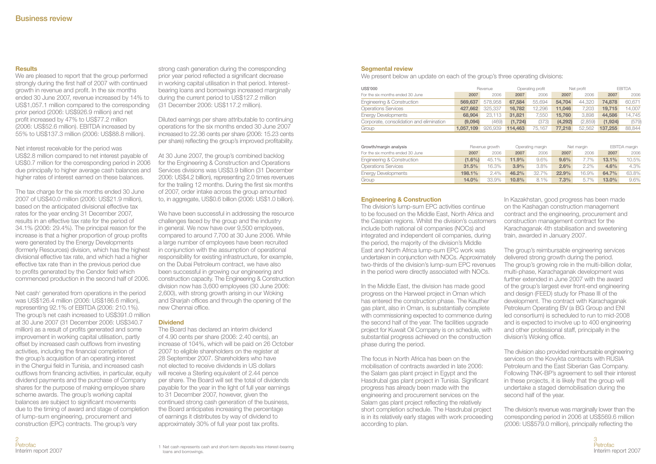## **Results**

We are pleased to report that the group performed strongly during the first half of 2007 with continued growth in revenue and profit. In the six months ended 30 June 2007, revenue increased by 14% to US\$1,057.1 million compared to the corresponding prior period (2006: US\$926.9 million) and net profit increased by 47% to US\$77.2 million (2006: US\$52.6 million). EBITDA increased by 55% to US\$137.3 million (2006: US\$88.8 million).

Net interest receivable for the period was US\$2.8 million compared to net interest payable of US\$0.7 million for the corresponding period in 2006 due principally to higher average cash balances and higher rates of interest earned on these balances.

The tax charge for the six months ended 30 June 2007 of US\$40.0 million (2006: US\$21.9 million), based on the anticipated divisional effective tax rates for the year ending 31 December 2007, results in an effective tax rate for the period of 34.1% (2006: 29.4%). The principal reason for the increase is that a higher proportion of group profits were generated by the Energy Developments (formerly Resources) division, which has the highest divisional effective tax rate, and which had a higher effective tax rate than in the previous period due to profits generated by the Cendor field which commenced production in the second half of 2006.

Net cash<sup>1</sup> generated from operations in the period was US\$126.4 million (2006: US\$186.6 million), representing 92.1% of EBITDA (2006: 210.1%). The group's net cash increased to US\$391.0 million at 30 June 2007 (31 December 2006: US\$340.7 million) as a result of profits generated and some improvement in working capital utilisation, partly offset by increased cash outflows from investing activities, including the financial completion of the group's acquisition of an operating interest in the Chergui field in Tunisia, and increased cash outflows from financing activities, in particular, equity dividend payments and the purchase of Company shares for the purpose of making employee share scheme awards. The group's working capital balances are subject to significant movements due to the timing of award and stage of completion of lump-sum engineering, procurement and construction (EPC) contracts. The group's very

strong cash generation during the corresponding prior year period reflected a significant decrease in working capital utilisation in that period. Interestbearing loans and borrowings increased marginally during the current period to US\$127.2 million (31 December 2006: US\$117.2 million).

Diluted earnings per share attributable to continuing operations for the six months ended 30 June 2007 increased to 22.36 cents per share (2006: 15.23 cents per share) reflecting the group's improved profitability.

At 30 June 2007, the group's combined backlog for the Engineering & Construction and Operations Services divisions was US\$3.9 billion (31 December 2006: US\$4.2 billion), representing 2.0 times revenues for the trailing 12 months. During the first six months of 2007, order intake across the group amounted to, in aggregate, US\$0.6 billion (2006: US\$1.0 billion).

We have been successful in addressing the resource challenges faced by the group and the industry in general. We now have over 9,500 employees, compared to around 7,700 at 30 June 2006. While a large number of employees have been recruited in conjunction with the assumption of operational responsibility for existing infrastructure, for example, on the Dubai Petroleum contract, we have also been successful in growing our engineering and construction capacity. The Engineering & Construction division now has 3,600 employees (30 June 2006: 2,600), with strong growth arising in our Woking and Shariah offices and through the opening of the new Chennai office.

#### **Dividend**

The Board has declared an interim dividend of 4.90 cents per share (2006: 2.40 cents), an increase of 104%, which will be paid on 26 October 2007 to eligible shareholders on the register at 28 September 2007. Shareholders who have not elected to receive dividends in US dollars will receive a Sterling equivalent of 2.44 pence per share. The Board will set the total of dividends payable for the year in the light of full year earnings to 31 December 2007, however, given the continued strong cash generation of the business, the Board anticipates increasing the percentage of earnings it distributes by way of dividend to approximately 30% of full year post tax profits.

#### **Segmental review**

We present below an update on each of the group's three operating divisions:

| <b>US\$'000</b>                          |           | Revenue        |          | Operating profit |          | Net profit |         | <b>FRITDA</b> |
|------------------------------------------|-----------|----------------|----------|------------------|----------|------------|---------|---------------|
| For the six months ended 30 June         | 2007      | 2006           | 2007     | 2006             | 2007     | 2006       | 2007    | 2006          |
| Engineering & Construction               | 569,637   | 578.958        | 67.584   | 55.694           | 54.704   | 44.320     | 74,878  | 60.671        |
| <b>Operations Services</b>               | 427.662   | 325.337        | 16.782   | 12.296           | 11.046   | 7.203      | 19.715  | 14.007        |
| <b>Energy Developments</b>               | 68,904    | 23.113         | 31.821   | 7.550            | 15,760   | 3.898      | 44,586  | 14.745        |
| Corporate, consolidation and elimination | (9,094)   | (469)          | (1, 724) | (373)            | (4, 292) | (2,859)    | (1,924) | (579)         |
| Group                                    | 1.057.109 | 926.939        | 114.463  | 75.167           | 77.218   | 52.562     | 137.255 | 88,844        |
|                                          |           |                |          |                  |          |            |         |               |
| Growth/margin analysis                   |           | Revenue growth |          | Operating margin |          | Net margin |         | EBITDA margin |
| For the six months ended 30 June         | 2007      | 2006           | 2007     | 2006             | 2007     | 2006       | 2007    | 2006          |
| Engineering & Construction               | $(1.6\%)$ | 45.1%          | 11.9%    | 9.6%             | 9.6%     | 7.7%       | 13.1%   | 10.5%         |
| <b>Operations Services</b>               | 31.5%     | 16.3%          | 3.9%     | 3.8%             | 2.6%     | 2.2%       | 4.6%    | 4.3%          |
| <b>Energy Developments</b>               | 198.1%    | 2.4%           | 46.2%    | 32.7%            | 22.9%    | 16.9%      | 64.7%   | 63.8%         |

Group **14.0%** 33.9% **10.8%** 8.1% **7.3%** 5.7% **13.0%** 9.6%

#### **Engineering & Construction**

The division's lump-sum EPC activities continue to be focused on the Middle East, North Africa and the Caspian regions. Whilst the division's customers include both national oil companies (NOCs) and integrated and independent oil companies, during the period, the majority of the division's Middle East and North Africa lump-sum EPC work was undertaken in conjunction with NOCs. Approximately two-thirds of the division's lump-sum EPC revenues in the period were directly associated with NOCs.

In the Middle East, the division has made good progress on the Harweel project in Oman which has entered the construction phase. The Kauther gas plant, also in Oman, is substantially complete with commissioning expected to commence during the second half of the year. The facilities upgrade project for Kuwait Oil Company is on schedule, with substantial progress achieved on the construction phase during the period.

The focus in North Africa has been on the mobilisation of contracts awarded in late 2006: the Salam gas plant project in Egypt and the Hasdrubal gas plant project in Tunisia. Significant progress has already been made with the engineering and procurement services on the Salam gas plant project reflecting the relatively short completion schedule. The Hasdrubal project is in its relatively early stages with work proceeding according to plan.

In Kazakhstan, good progress has been made on the Kashagan construction management contract and the engineering, procurement and construction management contract for the Karachaganak 4th stabilisation and sweetening train, awarded in January 2007.

The group's reimbursable engineering services delivered strong growth during the period. The group's growing role in the multi-billion dollar, multi-phase, Karachaganak development was further extended in June 2007 with the award of the group's largest ever front-end engineering and design (FEED) study for Phase III of the development. The contract with Karachaganak Petroleum Operating BV (a BG Group and ENI led consortium) is scheduled to run to mid-2008 and is expected to involve up to 400 engineering and other professional staff, principally in the division's Woking office.

The division also provided reimbursable engineering services on the Kovykta contracts with RUSIA Petroleum and the East Siberian Gas Company. Following TNK-BP's agreement to sell their interest in these projects, it is likely that the group will undertake a staged demobilisation during the second half of the year.

The division's revenue was marginally lower than the corresponding period in 2006 at US\$569.6 million (2006: US\$579.0 million), principally reflecting the

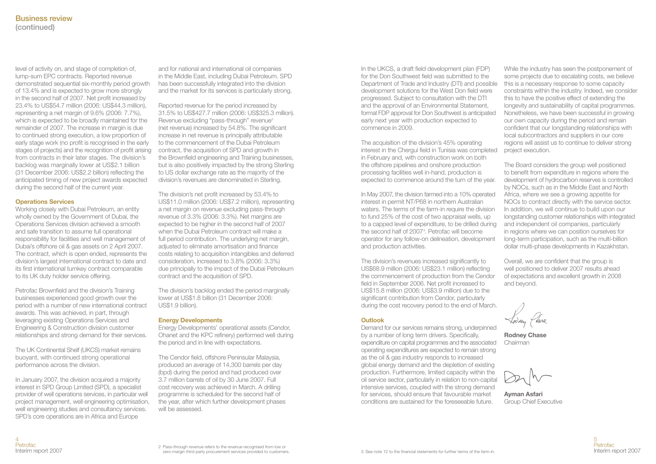level of activity on, and stage of completion of, lump-sum EPC contracts. Reported revenue demonstrated sequential six-monthly period growth of 13.4% and is expected to grow more strongly in the second half of 2007. Net profit increased by 23.4% to US\$54.7 million (2006: US\$44.3 million), representing a net margin of 9.6% (2006: 7.7%), which is expected to be broadly maintained for the remainder of 2007. The increase in margin is due to continued strong execution, a low proportion of early stage work (no profit is recognised in the early stages of projects) and the recognition of profit arising from contracts in their later stages. The division's backlog was marginally lower at US\$2.1 billion (31 December 2006: US\$2.2 billion) reflecting the anticipated timing of new project awards expected during the second half of the current year.

#### **Operations Services**

Working closely with Dubai Petroleum, an entity wholly owned by the Government of Dubai, the Operations Services division achieved a smooth and safe transition to assume full operational responsibility for facilities and well management of Dubai's offshore oil & gas assets on 2 April 2007. The contract, which is open ended, represents the division's largest international contract to date and its first international turnkey contract comparable to its UK duty holder service offering.

Petrofac Brownfield and the division's Training businesses experienced good growth over the period with a number of new international contract awards. This was achieved, in part, through leveraging existing Operations Services and Engineering & Construction division customer relationships and strong demand for their services.

The UK Continental Shelf (UKCS) market remains buoyant, with continued strong operational performance across the division.

In January 2007, the division acquired a majority interest in SPD Group Limited (SPD), a specialist provider of well operations services, in particular well project management, well engineering optimisation, well engineering studies and consultancy services. SPD's core operations are in Africa and Europe

and for national and international oil companies in the Middle East, including Dubai Petroleum. SPD has been successfully integrated into the division and the market for its services is particularly strong.

Reported revenue for the period increased by 31.5% to US\$427.7 million (2006: US\$325.3 million). Revenue excluding "pass-through" revenue<sup>2</sup> (net revenue) increased by 54.8%. The significant increase in net revenue is principally attributable to the commencement of the Dubai Petroleum contract, the acquisition of SPD and growth in the Brownfield engineering and Training businesses, but is also positively impacted by the strong Sterling to US dollar exchange rate as the majority of the division's revenues are denominated in Sterling.

The division's net profit increased by 53.4% to US\$11.0 million (2006: US\$7.2 million), representing a net margin on revenue excluding pass-through revenue of 3.3% (2006: 3.3%). Net margins are expected to be higher in the second half of 2007 when the Dubai Petroleum contract will make a full period contribution. The underlying net margin, adjusted to eliminate amortisation and finance costs relating to acquisition intangibles and deferred consideration, increased to 3.8% (2006: 3.3%) due principally to the impact of the Dubai Petroleum contract and the acquisition of SPD.

The division's backlog ended the period marginally lower at US\$1.8 billion (31 December 2006: US\$1.9 billion).

#### **Energy Developments**

Energy Developments' operational assets (Cendor, Ohanet and the KPC refinery) performed well during the period and in line with expectations.

The Cendor field, offshore Peninsular Malaysia, produced an average of 14,300 barrels per day (bpd) during the period and had produced over 3.7 million barrels of oil by 30 June 2007. Full cost recovery was achieved in March. A drilling programme is scheduled for the second half of the year, after which further development phases will be assessed.

In the UKCS, a draft field development plan (FDP) for the Don Southwest field was submitted to the Department of Trade and Industry (DTI) and possible development solutions for the West Don field were progressed. Subject to consultation with the DTI and the approval of an Environmental Statement, formal FDP approval for Don Southwest is anticipated early next year with production expected to commence in 2009.

The acquisition of the division's 45% operating interest in the Chergui field in Tunisia was completed in February and, with construction work on both the offshore pipelines and onshore production processing facilities well in-hand, production is expected to commence around the turn of the year.

In May 2007, the division farmed into a 10% operated interest in permit NT/P68 in northern Australian waters. The terms of the farm-in require the division to fund 25% of the cost of two appraisal wells, up to a capped level of expenditure, to be drilled during the second half of 2007<sup>3</sup>. Petrofac will become operator for any follow-on delineation, development and production activities.

The division's revenues increased significantly to US\$68.9 million (2006: US\$23.1 million) reflecting the commencement of production from the Cendor field in September 2006. Net profit increased to US\$15.8 million (2006: US\$3.9 million) due to the significant contribution from Cendor, particularly during the cost recovery period to the end of March.

## **Outlook**

Demand for our services remains strong, underpinned by a number of long term drivers. Specifically, expenditure on capital programmes and the associated operating expenditures are expected to remain strong as the oil & gas industry responds to increased global energy demand and the depletion of existing production. Furthermore, limited capacity within the oil service sector, particularly in relation to non-capital intensive services, coupled with the strong demand for services, should ensure that favourable market conditions are sustained for the foreseeable future.

While the industry has seen the postponement of some projects due to escalating costs, we believe this is a necessary response to some capacity constraints within the industry. Indeed, we consider this to have the positive effect of extending the longevity and sustainability of capital programmes. Nonetheless, we have been successful in growing our own capacity during the period and remain confident that our longstanding relationships with local subcontractors and suppliers in our core regions will assist us to continue to deliver strong project execution.

The Board considers the group well positioned to benefit from expenditure in regions where the development of hydrocarbon reserves is controlled by NOCs, such as in the Middle East and North Africa, where we see a growing appetite for NOCs to contract directly with the service sector. In addition, we will continue to build upon our longstanding customer relationships with integrated and independent oil companies, particularly in regions where we can position ourselves for long-term participation, such as the multi-billion dollar multi-phase developments in Kazakhstan.

Overall, we are confident that the group is well positioned to deliver 2007 results ahead of expectations and excellent growth in 2008 and beyond.

**Rodney Chase** Chairman

**Ayman Asfari** Group Chief Executive

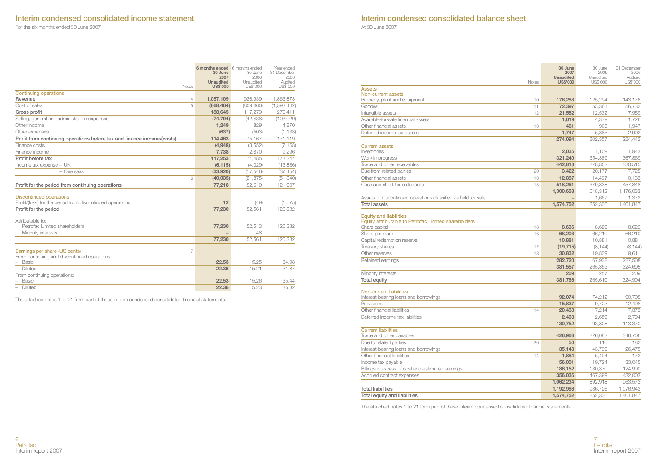## **Interim condensed consolidated income statement**

For the six months ended 30 June 2007

|                                                                                             | 6 months ended 6 months ended<br>30 June | 30 June        | Year ended<br>31 December |
|---------------------------------------------------------------------------------------------|------------------------------------------|----------------|---------------------------|
|                                                                                             | 2007                                     | 2006           | 2006                      |
|                                                                                             | <b>Unaudited</b>                         | Unaudited      | Audited                   |
| Notes                                                                                       | <b>US\$'000</b>                          | US\$'000       | US\$'000                  |
| Continuing operations                                                                       |                                          |                |                           |
| Revenue<br>4                                                                                | 1,057,109                                | 926.939        | 1,863,873                 |
| Cost of sales<br>5                                                                          | (868, 464)                               | (809, 660)     | (1,593,462)               |
| Gross profit                                                                                | 188,645                                  | 117.279        | 270,411                   |
| Selling, general and administration expenses                                                | (74, 794)                                | (42, 438)      | (103, 029)                |
| Other income                                                                                | 1,249                                    | 829            | 4,870                     |
| Other expenses                                                                              | (637)                                    | (503)          | (1, 133)                  |
| Profit from continuing operations before tax and finance income/(costs)                     | 114,463                                  | 75.167         | 171,119                   |
| Finance costs                                                                               | (4,948)                                  | (3,552)        | (7, 168)                  |
| Finance income                                                                              | 7,738                                    | 2.870          | 9,296                     |
| Profit before tax                                                                           | 117,253                                  | 74,485         | 173,247                   |
| Income tax expense - UK                                                                     | (6, 115)                                 | (4,329)        | (13,886)                  |
| - Overseas                                                                                  | (33,920)                                 | (17, 546)      | (37, 454)                 |
| 6                                                                                           | (40, 035)                                | (21, 875)      | (51, 340)                 |
| Profit for the period from continuing operations                                            | 77,218                                   | 52,610         | 121,907                   |
|                                                                                             |                                          |                |                           |
| <b>Discontinued operations</b><br>Profit/(loss) for the period from discontinued operations | 12                                       |                |                           |
| Profit for the period                                                                       |                                          | (49)<br>52.561 | (1, 575)                  |
|                                                                                             | 77,230                                   |                | 120,332                   |
| Attributable to:                                                                            |                                          |                |                           |
| Petrofac Limited shareholders                                                               | 77.230                                   | 52.513         | 120.332                   |
| Minority interests                                                                          |                                          | 48             |                           |
|                                                                                             | 77,230                                   | 52.561         | 120,332                   |
| Earnings per share (US cents)<br>7                                                          |                                          |                |                           |
| From continuing and discontinued operations:                                                |                                          |                |                           |
| <b>Basic</b>                                                                                | 22.53                                    | 15.25          | 34.98                     |
| Diluted                                                                                     | 22.36                                    | 15.21          | 34.87                     |
| From continuing operations:                                                                 |                                          |                |                           |
| Basic                                                                                       | 22.53                                    | 15.26          | 35.44                     |
| Diluted                                                                                     | 22.36                                    | 15.23          | 35.32                     |

**Contract Contract Contract** 

The attached notes 1 to 21 form part of these interim condensed consolidated financial statements.

## **Interim condensed consolidated balance sheet**

At 30 June 2007

|                                                                                                        |              | 30 June<br>2007<br><b>Unaudited</b> | 30 June<br>2006<br>Unaudited | 31 December<br>2006<br>Audited |
|--------------------------------------------------------------------------------------------------------|--------------|-------------------------------------|------------------------------|--------------------------------|
|                                                                                                        | <b>Notes</b> | <b>US\$'000</b>                     | US\$'000                     | US\$'000                       |
| <b>Assets</b><br>Non-current assets                                                                    |              |                                     |                              |                                |
| Property, plant and equipment                                                                          | 10           | 176,288                             | 125,294                      | 143.176                        |
| Goodwill                                                                                               | 11           | 72,397                              | 53.361                       | 56.732                         |
| Intangible assets                                                                                      | 12           | 21.582                              | 12.532                       | 17,959                         |
| Available-for-sale financial assets                                                                    |              | 1,619                               | 4.379                        | 1.726                          |
| Other financial assets                                                                                 | 13           | 461                                 | 906                          | 1.947                          |
| Deferred income tax assets                                                                             |              | 1.747                               | 5.885                        | 2.902                          |
|                                                                                                        |              | 274.094                             | 202.357                      | 224.442                        |
| <b>Current assets</b>                                                                                  |              |                                     |                              |                                |
| Inventories                                                                                            |              | 2,035                               | 1,109                        | 1,943                          |
| Work in progress                                                                                       |              | 321,240                             | 354,389                      | 367,869                        |
| Trade and other receivables                                                                            |              | 442,813                             | 278,802                      | 330,515                        |
| Due from related parties                                                                               | 20           | 3,422                               | 20.177                       | 7,725                          |
| Other financial assets                                                                                 | 13           | 12,887                              | 14.497                       | 10.133                         |
| Cash and short-term deposits                                                                           | 15           | 518,261                             | 379,338                      | 457,848                        |
|                                                                                                        |              | 1,300,658                           | 1,048,312                    | 1,176,033                      |
| Assets of discontinued operations classified as held for sale                                          |              | $\overline{\phantom{0}}$            | 1.667                        | 1.372                          |
| <b>Total assets</b>                                                                                    |              | 1,574,752                           | 1.252.336                    | 1.401.847                      |
| <b>Equity and liabilities</b><br>Equity attributable to Petrofac Limited shareholders<br>Share capital | 16           | 8,636                               | 8.629                        | 8.629                          |
| Share premium                                                                                          | 16           | 68,203                              | 66.210                       | 66.210                         |
| Capital redemption reserve                                                                             |              | 10,881                              | 10.881                       | 10,881                         |
| Treasury shares                                                                                        | 17           | (19, 715)                           | (8, 144)                     | (8, 144)                       |
| Other reserves                                                                                         | 18           | 30,832                              | 19.839                       | 19,611                         |
| Retained earnings                                                                                      |              | 282,720                             | 167,938                      | 227,508                        |
|                                                                                                        |              | 381,557                             | 265.353                      | 324.695                        |
| Minority interests                                                                                     |              | 209                                 | 257                          | 209                            |
| <b>Total equity</b>                                                                                    |              | 381,766                             | 265,610                      | 324.904                        |
| Non-current liabilities<br>Interest-bearing loans and borrowings                                       |              | 92,074                              | 74.212                       | 90.705                         |
| Provisions                                                                                             |              | 15,837                              | 9.723                        | 12.498                         |
| Other financial liabilities                                                                            | 14           | 20,438                              | 7.214                        | 7.373                          |
| Deferred income tax liabilities                                                                        |              | 2,403                               | 2,659                        | 2,794                          |
|                                                                                                        |              | 130,752                             | 93,808                       | 113,370                        |
| <b>Current liabilities</b><br>Trade and other payables                                                 |              | 426,963                             | 226,082                      | 346,706                        |
| Due to related parties                                                                                 | 20           | 50                                  | 110                          | 182                            |
| Interest-bearing loans and borrowings                                                                  |              | 35,148                              | 43.739                       | 26,475                         |
| Other financial liabilities                                                                            | 14           | 1,884                               | 5.494                        | 172                            |
| Income tax payable                                                                                     |              | 56,001                              | 19.724                       | 33.045                         |
| Billings in excess of cost and estimated earnings                                                      |              | 186.152                             | 130.370                      | 124.990                        |
| Accrued contract expenses                                                                              |              | 356,036                             | 467.399                      | 432.003                        |
|                                                                                                        |              | 1,062,234                           | 892.918                      | 963.573                        |
| <b>Total liabilities</b>                                                                               |              | 1,192,986                           | 986,726                      | 1,076,943                      |
| Total equity and liabilities                                                                           |              | 1,574,752                           | 1,252,336                    | 1,401,847                      |

The attached notes 1 to 21 form part of these interim condensed consolidated financial statements.

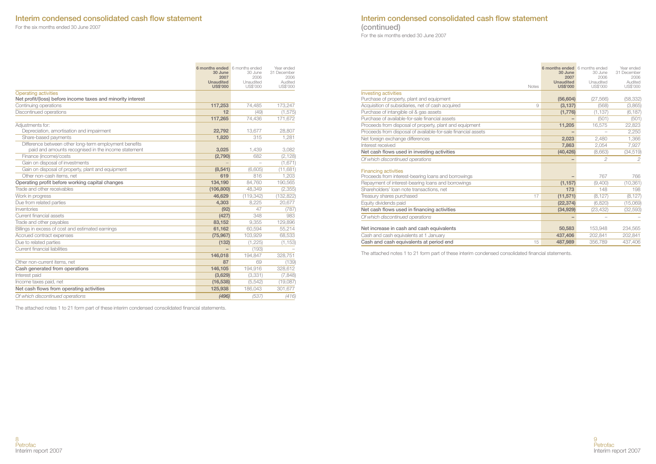## **Interim condensed consolidated cash flow statement**

For the six months ended 30 June 2007

|                                                                                                               | 6 months ended 6 months ended<br>30 June<br>2007<br><b>Unaudited</b><br><b>US\$'000</b> | 30 June<br>2006<br>Unaudited<br>US\$'000 | Year ended<br>31 December<br>2006<br>Audited<br>US\$'000 |
|---------------------------------------------------------------------------------------------------------------|-----------------------------------------------------------------------------------------|------------------------------------------|----------------------------------------------------------|
| <b>Operating activities</b><br>Net profit/(loss) before income taxes and minority interest                    |                                                                                         |                                          |                                                          |
| Continuing operations                                                                                         | 117,253                                                                                 | 74,485                                   | 173,247                                                  |
| Discontinued operations                                                                                       | 12                                                                                      | (49)                                     | (1, 575)                                                 |
|                                                                                                               | 117.265                                                                                 | 74.436                                   | 171.672                                                  |
| Adiustments for:                                                                                              |                                                                                         |                                          |                                                          |
| Depreciation, amortisation and impairment                                                                     | 22,792                                                                                  | 13.677                                   | 28,807                                                   |
| Share-based payments                                                                                          | 1,820                                                                                   | 315                                      | 1,281                                                    |
| Difference between other long-term employment benefits<br>paid and amounts recognised in the income statement | 3,025                                                                                   | 1.439                                    | 3.082                                                    |
| Finance (income)/costs                                                                                        | (2,790)                                                                                 | 682                                      | (2, 128)                                                 |
| Gain on disposal of investments                                                                               |                                                                                         |                                          | (1,671)                                                  |
| Gain on disposal of property, plant and equipment                                                             | (8,541)                                                                                 | (6.605)                                  | (11,681)                                                 |
| Other non-cash items, net                                                                                     | 619                                                                                     | 816                                      | 1.203                                                    |
| Operating profit before working capital changes                                                               | 134.190                                                                                 | 84.760                                   | 190.565                                                  |
| Trade and other receivables                                                                                   | (106, 800)                                                                              | 48.349                                   | (2,355)                                                  |
| Work in progress                                                                                              | 46,629                                                                                  | (119, 342)                               | (132, 822)                                               |
| Due from related parties                                                                                      | 4,303                                                                                   | 8.225                                    | 20,677                                                   |
| Inventories                                                                                                   | (92)                                                                                    | 47                                       | (787)                                                    |
| Current financial assets                                                                                      | (427)                                                                                   | 348                                      | 983                                                      |
| Trade and other payables                                                                                      | 83,152                                                                                  | 9.355                                    | 129,896                                                  |
| Billings in excess of cost and estimated earnings                                                             | 61,162                                                                                  | 60,594                                   | 55,214                                                   |
| Accrued contract expenses                                                                                     | (75, 967)                                                                               | 103,929                                  | 68,533                                                   |
| Due to related parties                                                                                        | (132)                                                                                   | (1, 225)                                 | (1, 153)                                                 |
| Current financial liabilities                                                                                 |                                                                                         | (193)                                    |                                                          |
|                                                                                                               | 146,018                                                                                 | 194.847                                  | 328.751                                                  |
| Other non-current items, net                                                                                  | 87                                                                                      | 69                                       | (139)                                                    |
| Cash generated from operations                                                                                | 146,105                                                                                 | 194,916                                  | 328.612                                                  |
| Interest paid                                                                                                 | (3,629)                                                                                 | (3, 331)                                 | (7, 848)                                                 |
| Income taxes paid, net                                                                                        | (16, 538)                                                                               | (5, 542)                                 | (19,087)                                                 |
| Net cash flows from operating activities                                                                      | 125,938                                                                                 | 186,043                                  | 301,677                                                  |
| Of which discontinued operations                                                                              | (496)                                                                                   | (537)                                    | (416)                                                    |

The attached notes 1 to 21 form part of these interim condensed consolidated financial statements.

## **Interim condensed consolidated cash flow statement (continued)**

For the six months ended 30 June 2007

| <b>Notes</b>                                                                       | 6 months ended 6 months ended<br>30 June<br>2007<br><b>Unaudited</b><br><b>US\$'000</b> | 30 June<br>2006<br>Unaudited<br>US\$'000 | Year ended<br>31 December<br>2006<br>Audited<br>US\$'000 |
|------------------------------------------------------------------------------------|-----------------------------------------------------------------------------------------|------------------------------------------|----------------------------------------------------------|
| <b>Investing activities</b>                                                        |                                                                                         |                                          |                                                          |
| Purchase of property, plant and equipment                                          | (56, 604)                                                                               | (27.566)                                 | (58, 332)                                                |
| Acquisition of subsidiaries, net of cash acquired<br>9                             | (3, 137)                                                                                | (568)                                    | (3,865)                                                  |
| Purchase of intangible oil & gas assets                                            | (1,776)                                                                                 | (1, 137)                                 | (6, 187)                                                 |
| Purchase of available-for-sale financial assets                                    |                                                                                         | (501)                                    | (501)                                                    |
| Proceeds from disposal of property, plant and equipment                            | 11,205                                                                                  | 16,575                                   | 22,823                                                   |
| Proceeds from disposal of available-for-sale financial assets                      |                                                                                         |                                          | 2,250                                                    |
| Net foreign exchange differences                                                   | 2.023                                                                                   | 2.480                                    | 1,366                                                    |
| Interest received                                                                  | 7.863                                                                                   | 2,054                                    | 7,927                                                    |
| Net cash flows used in investing activities                                        | (40, 426)                                                                               | (8,663)                                  | (34, 519)                                                |
| Of which discontinued operations                                                   |                                                                                         | 2                                        | $\overline{c}$                                           |
| <b>Financing activities</b><br>Proceeds from interest-bearing loans and borrowings |                                                                                         | 767                                      | 766                                                      |
| Repayment of interest-bearing loans and borrowings                                 | (1, 157)                                                                                | (9,400)                                  | (10, 361)                                                |
| Shareholders' loan note transactions, net                                          | 173                                                                                     | 148                                      | 198                                                      |
| Treasury shares purchased<br>17                                                    | (11, 571)                                                                               | (8, 127)                                 | (8, 127)                                                 |
| Equity dividends paid                                                              | (22, 374)                                                                               | (6,820)                                  | (15,069)                                                 |
| Net cash flows used in financing activities                                        | (34, 929)                                                                               | (23, 432)                                | (32, 593)                                                |
| Of which discontinued operations                                                   |                                                                                         |                                          |                                                          |
| Net increase in cash and cash equivalents                                          | 50,583                                                                                  | 153,948                                  | 234,565                                                  |
| Cash and cash equivalents at 1 January                                             | 437,406                                                                                 | 202.841                                  | 202.841                                                  |
| Cash and cash equivalents at period end<br>15                                      | 487,989                                                                                 | 356,789                                  | 437,406                                                  |

The attached notes 1 to 21 form part of these interim condensed consolidated financial statements.

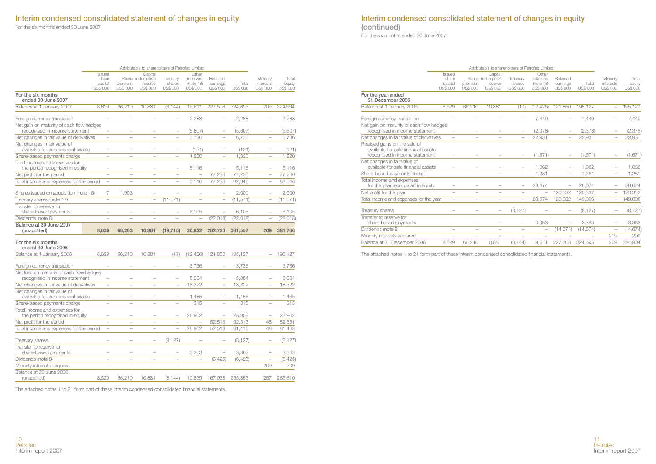## **Interim condensed consolidated statement of changes in equity**

For the six months ended 30 June 2007

| Interim condensed consolidated statement of changes in equity |  |  |
|---------------------------------------------------------------|--|--|
| (continued)                                                   |  |  |

For the six months ended 30 June 2007

|                                                                            |                          |                          |                             | Attributable to shareholders of Petrofac Limited |                          |                          |           |                          |                 |
|----------------------------------------------------------------------------|--------------------------|--------------------------|-----------------------------|--------------------------------------------------|--------------------------|--------------------------|-----------|--------------------------|-----------------|
|                                                                            | Issued                   |                          | Capital                     |                                                  | Other                    |                          |           |                          |                 |
|                                                                            | share<br>capital         | premium                  | Share redemption<br>reserve | Treasury<br>shares                               | reserves<br>(note 18)    | Retained<br>earnings     | Total     | Minority<br>interests    | Total<br>equity |
| For the six months                                                         | US\$'000                 | US\$'000                 | US\$'000                    | US\$'000                                         | US\$'000                 | US\$'000                 | US\$'000  | US\$'000                 | US\$'000        |
| ended 30 June 2007                                                         |                          |                          |                             |                                                  |                          |                          |           |                          |                 |
| Balance at 1 January 2007                                                  | 8.629                    | 66,210                   | 10,881                      | (8, 144)                                         | 19,611                   | 227,508                  | 324.695   | 209                      | 324.904         |
| Foreign currency translation                                               |                          |                          |                             | $\overline{\phantom{0}}$                         | 2,288                    |                          | 2,288     |                          | 2,288           |
| Net gain on maturity of cash flow hedges<br>recognised in income statement | $\overline{\phantom{0}}$ |                          |                             |                                                  | (5,607)                  |                          | (5,607)   |                          | (5,607)         |
| Net changes in fair value of derivatives                                   |                          |                          |                             |                                                  | 6,736                    |                          | 6,736     |                          | 6,736           |
| Net changes in fair value of<br>available-for-sale financial assets        |                          |                          |                             |                                                  | (121)                    |                          | (121)     |                          | (121)           |
| Share-based payments charge                                                | $\overline{\phantom{0}}$ | $\overline{\phantom{0}}$ |                             | $\overline{\phantom{0}}$                         | 1,820                    | $\overline{\phantom{0}}$ | 1,820     |                          | 1,820           |
| Total income and expenses for<br>the period recognised in equity           |                          |                          |                             | $\overline{a}$                                   | 5.116                    | $\overline{a}$           | 5,116     |                          | 5.116           |
| Net profit for the period                                                  | ÷                        |                          |                             |                                                  |                          | 77,230                   | 77,230    |                          | 77,230          |
| Total income and expenses for the period                                   | $\overline{\phantom{0}}$ |                          |                             | $\overline{\phantom{0}}$                         | 5,116                    | 77,230                   | 82,346    | $\overline{a}$           | 82,346          |
|                                                                            |                          |                          |                             |                                                  |                          |                          |           |                          |                 |
| Shares issued on acquisition (note 16)                                     | 7                        | 1,993                    |                             |                                                  |                          |                          | 2,000     |                          | 2,000           |
| Treasury shares (note 17)                                                  | $\overline{\phantom{0}}$ |                          | $\overline{\phantom{0}}$    | (11, 571)                                        |                          | $\overline{\phantom{0}}$ | (11, 571) |                          | (11, 571)       |
| Transfer to reserve for<br>share-based payments                            |                          |                          |                             |                                                  | 6.105                    |                          | 6,105     |                          | 6,105           |
| Dividends (note 8)                                                         |                          |                          |                             |                                                  |                          | (22, 018)                | (22, 018) |                          | (22, 018)       |
| Balance at 30 June 2007<br>(unaudited)                                     | 8,636                    | 68,203                   | 10,881                      | (19, 715)                                        | 30,832                   | 282,720                  | 381,557   | 209                      | 381,766         |
|                                                                            |                          |                          |                             |                                                  |                          |                          |           |                          |                 |
| For the six months<br>ended 30 June 2006                                   |                          |                          |                             |                                                  |                          |                          |           |                          |                 |
| Balance at 1 January 2006                                                  | 8,629                    | 66,210                   | 10,881                      | (17)                                             | (12, 426)                | 121,850                  | 195,127   | $\overline{\phantom{0}}$ | 195,127         |
|                                                                            |                          |                          |                             |                                                  |                          |                          |           |                          |                 |
| Foreign currency translation<br>Net loss on maturity of cash flow hedges   | $\overline{a}$           |                          |                             | $\overline{\phantom{0}}$                         | 3.736                    |                          | 3,736     |                          | 3,736           |
| recognised in income statement                                             | $\overline{\phantom{0}}$ |                          |                             | $\overline{\phantom{0}}$                         | 5,064                    |                          | 5,064     |                          | 5,064           |
| Net changes in fair value of derivatives                                   |                          |                          |                             |                                                  | 18,322                   |                          | 18,322    |                          | 18,322          |
| Net changes in fair value of<br>available-for-sale financial assets        | $\overline{\phantom{a}}$ |                          |                             | $\overline{\phantom{0}}$                         | 1,465                    |                          | 1,465     |                          | 1,465           |
| Share-based payments charge                                                | $\overline{\phantom{0}}$ | $\overline{\phantom{a}}$ | $\overline{\phantom{0}}$    | $\overline{a}$                                   | 315                      | $\overline{a}$           | 315       | $\overline{a}$           | 315             |
| Total income and expenses for<br>the period recognised in equity           |                          |                          |                             | $\overline{\phantom{0}}$                         | 28,902                   | $\overline{\phantom{0}}$ | 28,902    |                          | 28,902          |
| Net profit for the period                                                  |                          |                          |                             |                                                  |                          | 52,513                   | 52,513    | 48                       | 52,561          |
| Total income and expenses for the period                                   | $\overline{\phantom{0}}$ | $\overline{a}$           | $\overline{a}$              | $\overline{\phantom{0}}$                         | 28,902                   | 52,513                   | 81,415    | 48                       | 81,463          |
| Treasury shares                                                            |                          |                          |                             |                                                  |                          |                          | (8, 127)  |                          | (8, 127)        |
| Transfer to reserve for                                                    |                          |                          |                             |                                                  |                          |                          |           |                          |                 |
|                                                                            |                          |                          |                             | (8, 127)                                         |                          |                          |           |                          |                 |
| share-based payments                                                       |                          |                          |                             | $\overline{\phantom{0}}$                         | 3,363                    |                          | 3,363     |                          | 3,363           |
| Dividends (note 8)                                                         | $\overline{\phantom{0}}$ | $\overline{\phantom{a}}$ | $\overline{\phantom{a}}$    | $\overline{\phantom{a}}$                         | $\overline{\phantom{a}}$ | (6, 425)                 | (6, 425)  |                          | (6, 425)        |
| Minority interests acquired                                                | $\overline{\phantom{0}}$ |                          |                             |                                                  |                          |                          |           | 209                      | 209             |
| Balance at 30 June 2006<br>(unaudited)                                     | 8.629                    | 66.210                   | 10.881                      | (8.144)                                          | 19.839                   | 167.938                  | 265,353   | 257                      | 265.610         |

The attached notes 1 to 21 form part of these interim condensed consolidated financial statements.

|                                                                                                        |                                        |                          | Attributable to shareholders of Petrofac Limited   |                                |                                            |                                  |                   |                                   |                             |
|--------------------------------------------------------------------------------------------------------|----------------------------------------|--------------------------|----------------------------------------------------|--------------------------------|--------------------------------------------|----------------------------------|-------------------|-----------------------------------|-----------------------------|
|                                                                                                        | Issued<br>share<br>capital<br>US\$'000 | premium<br>US\$'000      | Capital<br>Share redemption<br>reserve<br>US\$'000 | Treasurv<br>shares<br>US\$'000 | Other<br>reserves<br>(note 18)<br>US\$'000 | Retained<br>earnings<br>US\$'000 | Total<br>US\$'000 | Minority<br>interests<br>US\$'000 | Total<br>equity<br>US\$'000 |
| For the year ended<br>31 December 2006                                                                 |                                        |                          |                                                    |                                |                                            |                                  |                   |                                   |                             |
| Balance at 1 January 2006                                                                              | 8.629                                  | 66.210                   | 10.881                                             | (17)                           | (12.426)                                   | 121.850                          | 195.127           | $\overline{\phantom{0}}$          | 195,127                     |
| Foreign currency translation                                                                           |                                        |                          |                                                    |                                | 7,449                                      |                                  | 7.449             |                                   | 7,449                       |
| Net gain on maturity of cash flow hedges<br>recognised in income statement                             |                                        |                          |                                                    |                                | (2, 378)                                   |                                  | (2,378)           |                                   | (2, 378)                    |
| Net changes in fair value of derivatives                                                               | $\overline{\phantom{0}}$               | $\overline{\phantom{0}}$ |                                                    |                                | 22.931                                     | $\overline{\phantom{0}}$         | 22.931            | $\overline{\phantom{0}}$          | 22,931                      |
| Realised gains on the sale of<br>available-for-sale financial assets<br>recognised in income statement |                                        |                          |                                                    |                                | (1,671)                                    |                                  | (1.671)           | $\overline{\phantom{0}}$          | (1,671)                     |
| Net changes in fair value of<br>available-for-sale financial assets                                    |                                        |                          |                                                    |                                | 1.062                                      |                                  | 1,062             |                                   | 1,062                       |
| Share-based payments charge                                                                            |                                        |                          |                                                    |                                | 1.281                                      |                                  | 1.281             |                                   | 1.281                       |
| Total income and expenses<br>for the year recognised in equity                                         |                                        |                          |                                                    |                                | 28,674                                     |                                  | 28.674            |                                   | 28,674                      |
| Net profit for the year                                                                                | $\overline{\phantom{0}}$               | $\overline{\phantom{0}}$ | $\overline{\phantom{0}}$                           | $\overline{\phantom{0}}$       | $\overline{\phantom{0}}$                   | 120.332                          | 120.332           |                                   | 120.332                     |
| Total income and expenses for the year                                                                 | $\overline{\phantom{0}}$               | $\qquad \qquad -$        | -                                                  | $\overline{\phantom{0}}$       | 28.674                                     | 120.332                          | 149.006           | $\overline{\phantom{0}}$          | 149,006                     |
| Treasury shares                                                                                        |                                        |                          |                                                    | (8, 127)                       |                                            |                                  | (8, 127)          |                                   | (8, 127)                    |
| Transfer to reserve for<br>share-based payments                                                        |                                        |                          |                                                    |                                | 3.363                                      |                                  | 3.363             |                                   | 3.363                       |
| Dividends (note 8)                                                                                     | $\overline{\phantom{0}}$               | $\overline{\phantom{0}}$ | $\overline{\phantom{0}}$                           | $\overline{\phantom{0}}$       |                                            | (14, 674)                        | (14, 674)         | $\overline{\phantom{0}}$          | (14, 674)                   |
| Minority interests acquired                                                                            |                                        |                          |                                                    |                                |                                            |                                  |                   | 209                               | 209                         |
| Balance at 31 December 2006                                                                            | 8.629                                  | 66.210                   | 10.881                                             | (8.144)                        | 19.611                                     | 227.508                          | 324.695           | 209                               | 324,904                     |

The attached notes 1 to 21 form part of these interim condensed consolidated financial statements.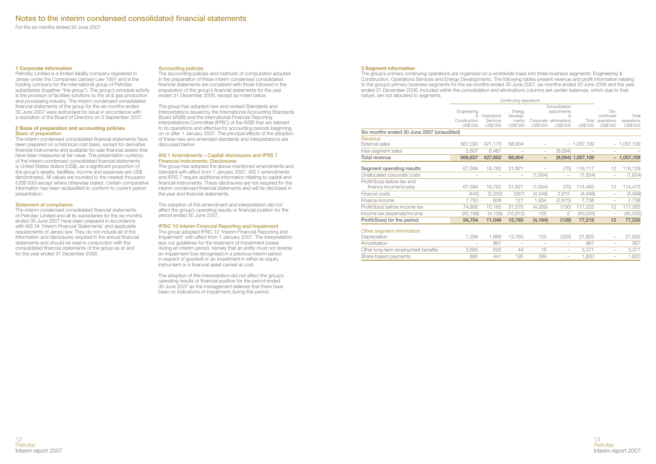For the six months ended 30 June 2007

#### **1 Corporate information**

Petrofac Limited is a limited liability company registered in Jersey under the Companies (Jersey) Law 1991 and is the holding company for the international group of Petrofac subsidiaries (together "the group"). The group's principal activity is the provision of facilities solutions to the oil & gas production and processing industry. The interim condensed consolidated financial statements of the group for the six months ended 30 June 2007 were authorised for issue in accordance with a resolution of the Board of Directors on 5 September 2007.

#### **2 Basis of preparation and accounting policies Basis of preparation**

The interim condensed consolidated financial statements have been prepared on a historical cost basis, except for derivative financial instruments and available-for-sale financial assets that have been measured at fair value. The presentation currency of the interim condensed consolidated financial statements is United States dollars (US\$), as a significant proportion of the group's assets, liabilities, income and expenses are US\$ denominated. All values are rounded to the nearest thousand (US\$'000) except where otherwise stated. Certain comparative information has been reclassified to conform to current period presentation.

#### **Statement of compliance**

The interim condensed consolidated financial statements of Petrofac Limited and all its subsidiaries for the six months ended 30 June 2007 have been prepared in accordance with IAS 34 'Interim Financial Statements' and applicable requirements of Jersey law. They do not include all of the information and disclosures required in the annual financial statements and should be read in conjunction with the consolidated financial statements of the group as at and for the year ended 31 December 2006.

#### **Accounting policies**

The accounting policies and methods of computation adopted in the preparation of these interim condensed consolidated financial statements are consistent with those followed in the preparation of the group's financial statements for the year ended 31 December 2006, except as noted below.

The group has adopted new and revised Standards and Interpretations issued by the International Accounting Standards Board (IASB) and the International Financial Reporting Interpretations Committee (IFRIC) of the IASB that are relevant to its operations and effective for accounting periods beginning on or after 1 January 2007. The principal effects of the adoption of these new and amended standards and interpretations are discussed below:

#### **IAS 1 Amendments – Capital disclosures and IFRS 7 Financial instruments: Disclosures**

The group has adopted the above mentioned amendments and standard with effect from 1 January 2007. IAS 1 amendments and IFRS 7 require additional information relating to capital and financial instruments. These disclosures are not required for the interim condensed financial statements and will be disclosed in the year end financial statements.

The adoption of this amendment and interpretation did not affect the group's operating results or financial position for the period ended 30 June 2007.

#### **IFRIC 10 Interim Financial Reporting and Impairment**

The group adopted IFRIC 10 'Interim Financial Reporting and Impairment' with effect from 1 January 2007. The interpretation lays out guidelines for the treatment of impairment losses during an interim period, namely that an entity must not reverse an impairment loss recognised in a previous interim period in respect of goodwill or an investment in either an equity instrument or a financial asset carried at cost.

The adoption of this interpretation did not affect the group's operating results or financial position for the period ended 30 June 2007 as the management believes that there have been no indications of impairment during this period.

#### **3 Segment information**

The group's primary continuing operations are organised on a worldwide basis into three business segments: Engineering & Construction, Operations Services and Energy Developments. The following tables present revenue and profit information relating to the group's primary business segments for the six months ended 30 June 2007, six months ended 30 June 2006 and the year ended 31 December 2006. Included within the consolidation and eliminations columns are certain balances, which due to their nature, are not allocated to segments.

|                                                        | Continuing operations    |                      |                    |                          |                                    |                     |                          |                        |
|--------------------------------------------------------|--------------------------|----------------------|--------------------|--------------------------|------------------------------------|---------------------|--------------------------|------------------------|
|                                                        | Engineering<br>&         | Operations           | Energy<br>Develop- |                          | Consolidation<br>adiustments<br>8  |                     | Dis-<br>continued        | Total                  |
|                                                        | Construction<br>US\$'000 | Services<br>US\$'000 | ments<br>US\$'000  | US\$'000                 | Corporate eliminations<br>US\$'000 | Total<br>US\$'000   | operations<br>US\$'000   | operations<br>US\$'000 |
| Six months ended 30 June 2007 (unaudited)              |                          |                      |                    |                          |                                    |                     |                          |                        |
| Revenue                                                |                          |                      |                    |                          |                                    |                     |                          |                        |
| External sales                                         | 567.030                  | 421,175              | 68,904             |                          |                                    | $-1,057,109$        |                          | $-1,057,109$           |
| Inter-segment sales                                    | 2.607                    | 6.487                |                    |                          | (9,094)                            |                     |                          |                        |
| Total revenue                                          | 569,637                  | 427.662              | 68,904             | $\overline{\phantom{0}}$ |                                    | $(9,094)$ 1,057,109 |                          | $-1,057,109$           |
| Segment operating results                              | 67.584                   | 16.782               | 31,821             |                          | (70)                               | 116,117             | 12                       | 116,129                |
| Unallocated corporate costs                            |                          |                      |                    | (1,654)                  |                                    | (1,654)             | $\qquad \qquad -$        | (1,654)                |
| Profit/(loss) before tax and<br>finance income/(costs) | 67,584                   | 16.782               | 31,821             | (1,654)                  | (70)                               | 114,463             | 12                       | 114,475                |
| Finance costs                                          | (442)                    | (2,205)              | (367)              | (4,549)                  | 2,615                              | (4,948)             |                          | (4,948)                |
| Finance income                                         | 7,750                    | 608                  | 121                | 1,934                    | (2,675)                            | 7,738               | $\overline{\phantom{0}}$ | 7,738                  |
| Profit/(loss) before income tax                        | 74,892                   | 15,185               | 31,575             | (4,269)                  | (130)                              | 117,253             | 12                       | 117,265                |
| Income tax (expense)/income                            | (20, 188)                | (4, 139)             | (15, 815)          | 105                      | 2                                  | (40, 035)           | $\overline{\phantom{m}}$ | (40, 035)              |
| Profit/(loss) for the period                           | 54,704                   | 11,046               | 15,760             | (4, 164)                 | (128)                              | 77,218              | 12                       | 77,230                 |
| Other segment information                              |                          |                      |                    |                          |                                    |                     |                          |                        |
| Depreciation                                           | 7,294                    | 1,966                | 12,765             | 125                      | (325)                              | 21,825              |                          | 21,825                 |
| Amortisation                                           |                          | 967                  |                    |                          | $\overline{\phantom{0}}$           | 967                 |                          | 967                    |

Other long-term employment benefits 2,685 626 44 16 - 3,371 - 3,371<br>
Share-based payments 885 441 195 299 - 1,820 - 1,820 Share-based payments 885 441 195 299 – 1,820 – 1,820

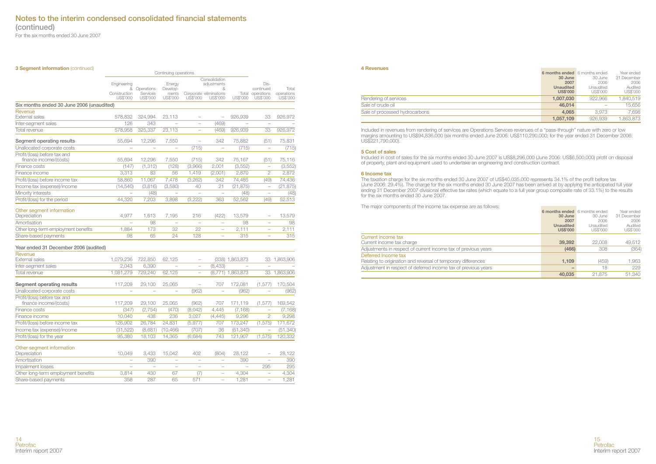**(continued)**

For the six months ended 30 June 2007

| <b>3 Segment information (continued)</b>               | Continuing operations    |                          |                          |                          |                                    |                   |                              |                        |
|--------------------------------------------------------|--------------------------|--------------------------|--------------------------|--------------------------|------------------------------------|-------------------|------------------------------|------------------------|
|                                                        |                          | Consolidation            |                          |                          |                                    |                   |                              |                        |
|                                                        | Engineering<br>&         | Operations               | Energy<br>Develop-       |                          | adjustments<br>&                   |                   | Dis-<br>continued            | Total                  |
|                                                        | Construction<br>US\$'000 | Services<br>US\$'000     | ments<br>US\$'000        | US\$'000                 | Corporate eliminations<br>US\$'000 | US\$'000          | Total operations<br>US\$'000 | operations<br>US\$'000 |
| Six months ended 30 June 2006 (unaudited)              |                          |                          |                          |                          |                                    |                   |                              |                        |
| Revenue                                                |                          |                          |                          |                          |                                    |                   |                              |                        |
| <b>External sales</b>                                  | 578.832                  | 324,994                  | 23.113                   | $\overline{\phantom{0}}$ | $\overline{a}$                     | 926,939           | 33                           | 926,972                |
| Inter-segment sales                                    | 126                      | 343                      | ÷                        | $\overline{a}$           | (469)                              |                   | $\frac{1}{2}$                |                        |
| Total revenue                                          | 578.958                  | 325.337                  | 23.113                   | $\overline{\phantom{0}}$ | (469)                              | 926.939           | 33                           | 926.972                |
| Segment operating results                              | 55,694                   | 12,296                   | 7,550                    | $\overline{a}$           | 342                                | 75,882            | (51)                         | 75,831                 |
| Unallocated corporate costs                            |                          | $\overline{a}$           | $\overline{a}$           | (715)                    | $\overline{a}$                     | (715)             |                              | (715)                  |
| Profit/(loss) before tax and<br>finance income/(costs) | 55,694                   | 12,296                   | 7,550                    | (715)                    | 342                                | 75,167            | (51)                         | 75,116                 |
| Finance costs                                          | (147)                    | (1.312)                  | (128)                    | (3.966)                  | 2.001                              | (3, 552)          | $\overline{\phantom{a}}$     | (3, 552)               |
| Finance income                                         | 3,313                    | 83                       | 56                       | 1,419                    | (2,001)                            | 2,870             | $\overline{c}$               | 2,872                  |
| Profit/(loss) before income tax                        | 58,860                   | 11,067                   | 7,478                    | (3,262)                  | 342                                | 74,485            | (49)                         | 74,436                 |
| Income tax (expense)/income                            | (14, 540)                | (3,816)                  | (3,580)                  | 40                       | 21                                 | (21, 875)         | $\overline{\phantom{0}}$     | (21, 875)              |
| Minority interests                                     | $\equiv$                 | (48)                     | $\overline{\phantom{a}}$ |                          | $\overline{\phantom{0}}$           | (48)              | $\overline{\phantom{a}}$     | (48)                   |
| Profit/(loss) for the period                           | 44,320                   | 7,203                    | 3,898                    | (3,222)                  | 363                                | 52,562            | (49)                         | 52,513                 |
|                                                        |                          |                          |                          |                          |                                    |                   |                              |                        |
| Other segment information<br>Depreciation              | 4,977                    | 1,613                    | 7,195                    | 216                      | (422)                              | 13,579            | $\overline{a}$               | 13,579                 |
| Amortisation                                           |                          | 98                       | $\overline{a}$           | $\overline{\phantom{a}}$ | $\overline{\phantom{a}}$           | 98                | ÷                            | 98                     |
| Other long-term employment benefits                    | 1.884                    | 173                      | 32                       | 22                       | $\overline{a}$                     | 2,111             | $\overline{\phantom{0}}$     | 2,111                  |
| Share-based payments                                   | 98                       | 65                       | 24                       | 128                      |                                    | 315               | $\overline{\phantom{0}}$     | 315                    |
| Year ended 31 December 2006 (audited)                  |                          |                          |                          |                          |                                    |                   |                              |                        |
| Revenue                                                |                          |                          |                          |                          |                                    |                   |                              |                        |
| <b>External sales</b>                                  | 1,079,236                | 722,850                  | 62,125                   | ÷                        |                                    | (338) 1,863,873   |                              | 33 1.863.906           |
| Inter-segment sales                                    | 2,043                    | 6,390                    |                          | $\overline{\phantom{0}}$ | (8,433)                            |                   | $\overline{\phantom{a}}$     |                        |
| Total revenue                                          | 1,081,279                | 729,240                  | 62,125                   |                          |                                    | (8,771) 1,863,873 | 33                           | 1,863,906              |
| Segment operating results                              | 117,209                  | 29,100                   | 25,065                   | $\overline{a}$           | 707                                | 172,081           | (1, 577)                     | 170,504                |
| Unallocated corporate costs                            |                          | $\overline{\phantom{0}}$ | $\overline{\phantom{a}}$ | (962)                    | $\overline{a}$                     | (962)             | $\overline{\phantom{0}}$     | (962)                  |
| Profit/(loss) before tax and<br>finance income/(costs) | 117,209                  | 29,100                   | 25.065                   | (962)                    | 707                                | 171,119           | (1, 577)                     | 169,542                |
| Finance costs                                          | (347)                    | (2, 754)                 | (470)                    | (8,042)                  | 4,445                              | (7, 168)          | ÷                            | (7, 168)               |
| Finance income                                         | 10.040                   | 438                      | 236                      | 3.027                    | (4.445)                            | 9.296             | $\overline{2}$               | 9.298                  |
| Profit/(loss) before income tax                        | 126,902                  | 26.784                   | 24.831                   | (5, 977)                 | 707                                | 173,247           | (1, 575)                     | 171.672                |
| Income tax (expense)/income                            | (31, 522)                | (8,681)                  | (10, 466)                | (707)                    | 36                                 | (51, 340)         |                              | (51, 340)              |
| Profit/(loss) for the year                             | 95,380                   | 18,103                   | 14,365                   | (6,684)                  | 743                                | 121,907           | (1, 575)                     | 120,332                |
|                                                        |                          |                          |                          |                          |                                    |                   |                              |                        |
| Other segment information<br>Depreciation              | 10.049                   | 3,433                    | 15,042                   | 402                      | (804)                              | 28,122            |                              | 28,122                 |
| Amortisation                                           | ÷                        | 390                      | $\overline{a}$           | $\overline{a}$           | $\overline{a}$                     | 390               | ÷                            | 390                    |
| Impairment losses                                      |                          | $\overline{\phantom{a}}$ | $\overline{\phantom{a}}$ | $\overline{\phantom{a}}$ | $\overline{\phantom{0}}$           |                   | 295                          | 295                    |
| Other long-term employment benefits                    | 3.814                    | 430                      | 67                       | (7)                      | $\overline{\phantom{0}}$           | 4,304             | $\overline{a}$               | 4,304                  |
| Share-based payments                                   | 358                      | 287                      | 65                       | 571                      | $\overline{\phantom{a}}$           | 1,281             | $\overline{\phantom{a}}$     | 1,281                  |

#### **4 Revenues**

|                                | 6 months ended 6 months ended |           | Year ended  |
|--------------------------------|-------------------------------|-----------|-------------|
|                                | 30 June                       | 30 June   | 31 December |
|                                | 2007                          | 2006      | 2006        |
|                                | <b>Unaudited</b>              | Unaudited | Audited     |
|                                | <b>US\$'000</b>               | US\$'000  | US\$'000    |
| Rendering of services          | 1.007.030                     | 922.966   | 1.840.519   |
| Sale of crude oil              | 46,014                        |           | 15.656      |
| Sale of processed hydrocarbons | 4.065                         | 3.973     | 7.698       |
|                                | 1.057.109                     | 926.939   | 1.863.873   |

**Contract Contract** 

**Contract Contract Contract** 

Included in revenues from rendering of services are Operations Services revenues of a "pass-through" nature with zero or low<br>margins amounting to US\$94,836,000 (six months ended June 2006: US\$110,290,000; for the year ende US\$221,790,000).

#### **5 Cost of sales**

Included in cost of sales for the six months ended 30 June 2007 is US\$8,296,000 (June 2006: US\$6,500,000) profit on disposal of property, plant and equipment used to undertake an engineering and construction contract.

#### **6 Income tax**

The taxation charge for the six months ended 30 June 2007 of US\$40,035,000 represents 34.1% of the profit before tax (June 2006: 29.4%). The charge for the six months ended 30 June 2007 has been arrived at by applying the anticipated full year ending 31 December 2007 divisional effective tax rates (which equate to a full year group composite rate of 33.1%) to the results for the six months ended 30 June 2007.

The major components of the income tax expense are as follows:

|                                                                | 6 months ended 6 months ended |           | Year ended  |
|----------------------------------------------------------------|-------------------------------|-----------|-------------|
|                                                                | 30 June                       | 30 June   | 31 December |
|                                                                | 2007                          | 2006      | 2006        |
|                                                                | <b>Unaudited</b>              | Unaudited | Audited     |
|                                                                | <b>US\$'000</b>               | US\$'000  | US\$'000    |
| Current income tax                                             |                               |           |             |
| Current income tax charge                                      | 39,392                        | 22.008    | 49,512      |
| Adjustments in respect of current income tax of previous years | (466)                         | 308       | (364)       |
| Deferred income tax                                            |                               |           |             |
| Relating to origination and reversal of temporary differences  | 1.109                         | (459)     | 1,963       |
| Adjustment in respect of deferred income tax of previous years | -                             | 18        | 229         |
|                                                                | 40,035                        | 21.875    | 51,340      |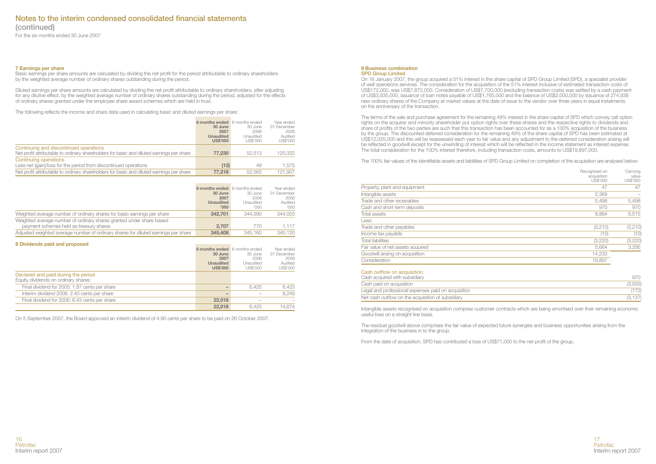**(continued)**

For the six months ended 30 June 2007

#### **7 Earnings per share**

Basic earnings per share amounts are calculated by dividing the net profit for the period attributable to ordinary shareholders by the weighted average number of ordinary shares outstanding during the period.

Diluted earnings per share amounts are calculated by dividing the net profit attributable to ordinary shareholders, after adjusting for any dilutive effect, by the weighted average number of ordinary shares outstanding during the period, adjusted for the effects of ordinary shares granted under the employee share award schemes which are held in trust.

The following reflects the income and share data used in calculating basic and diluted earnings per share:

|                                                                                                                                     | 6 months ended 6 months ended<br>30 June<br>2007<br>Unaudited<br><b>US\$'000</b> | 30 June<br>2006<br>Unaudited<br>US\$'000 | Year ended<br>31 December<br>2006<br>Audited<br>US\$'000 |
|-------------------------------------------------------------------------------------------------------------------------------------|----------------------------------------------------------------------------------|------------------------------------------|----------------------------------------------------------|
| Continuing and discontinued operations<br>Net profit attributable to ordinary shareholders for basic and diluted earnings per share | 77,230                                                                           | 52.513                                   | 120.332                                                  |
| Continuing operations<br>Less net (gain)/loss for the period from discontinued operations                                           | (12)                                                                             | 49                                       | 1.575                                                    |
| Net profit attributable to ordinary shareholders for basic and diluted earnings per share                                           | 77.218                                                                           | 52.562                                   | 121.907                                                  |

|                                                                                                                 | 6 months ended 6 months ended<br>30 June<br>2007<br><b>Unaudited</b><br>000' | 30 June<br>2006<br>Unaudited<br>COO' | Year ended<br>31 December<br>2006<br>Audited<br>'000' |
|-----------------------------------------------------------------------------------------------------------------|------------------------------------------------------------------------------|--------------------------------------|-------------------------------------------------------|
| Weighted average number of ordinary shares for basic earnings per share                                         | 342,701                                                                      | 344.390                              | 344.003                                               |
| Weighted average number of ordinary shares granted under share-based<br>payment schemes held as treasury shares | 2.707                                                                        | 770                                  | 1.117                                                 |
| Adjusted weighted average number of ordinary shares for diluted earnings per share                              | 345,408                                                                      | 345.160                              | 345.120                                               |

#### **8 Dividends paid and proposed**

|                                               | 6 months ended 6 months ended |           | Year ended  |
|-----------------------------------------------|-------------------------------|-----------|-------------|
|                                               | 30 June                       | 30 June   | 31 December |
|                                               | 2007                          | 2006      | 2006        |
|                                               | <b>Unaudited</b>              | Unaudited | Audited     |
|                                               | <b>US\$'000</b>               | US\$'000  | US\$'000    |
| Declared and paid during the period           |                               |           |             |
| Equity dividends on ordinary shares:          |                               |           |             |
| Final dividend for 2005: 1.87 cents per share | $\qquad \qquad$               | 6.425     | 6.425       |
| Interim dividend 2006: 2.40 cents per share   | $\qquad \qquad$               |           | 8.249       |
| Final dividend for 2006: 6.43 cents per share | 22,018                        |           |             |
|                                               | 22,018                        | 6.425     | 14.674      |

On 5 September 2007, the Board approved an interim dividend of 4.90 cents per share to be paid on 26 October 2007.

#### **9 Business combination SPD Group Limited**

On 16 January 2007, the group acquired a 51% interest in the share capital of SPD Group Limited (SPD), a specialist provider of well operations services. The consideration for the acquisition of the 51% interest inclusive of estimated transaction costs of US\$172,000, was US\$7,872,000. Consideration of US\$7,700,000 (excluding transaction costs) was settled by a cash payment of US\$3,935,000, issuance of loan notes payable of US\$1,765,000 and the balance of US\$2,000,000 by issuance of 274,938 new ordinary shares of the Company at market values at the date of issue to the vendor over three years in equal instalments on the anniversary of the transaction.

The terms of the sale and purchase agreement for the remaining 49% interest in the share capital of SPD which convey call option rights on the acquirer and minority shareholder put option rights over these shares and the respective rights to dividends and share of profits of the two parties are such that this transaction has been accounted for as a 100% acquisition of the business by the group. The discounted deferred consideration for the remaining 49% of the share capital of SPD has been estimated at US\$12,025,000 and this will be reassessed each year to fair value and any adjustment to the deferred consideration arising will be reflected in goodwill except for the unwinding of interest which will be reflected in the income statement as interest expense. The total consideration for the 100% interest therefore, including transaction costs, amounts to US\$19,897,000.

The 100% fair values of the identifiable assets and liabilities of SPD Group Limited on completion of the acquisition are analysed below:

|                                   | Recognised on<br>acquisition<br>US\$'000 | Carrying<br>value<br>US\$'000 |
|-----------------------------------|------------------------------------------|-------------------------------|
| Property, plant and equipment     | 47                                       | 47                            |
| Intangible assets                 | 2,369                                    |                               |
| Trade and other receivables       | 5.498                                    | 5.498                         |
| Cash and short-term deposits      | 970                                      | 970                           |
| Total assets                      | 8.884                                    | 6,515                         |
| Less:                             |                                          |                               |
| Trade and other payables          | (3,210)                                  | (3,210)                       |
| Income tax payable                | (10)                                     | (10)                          |
| <b>Total liabilities</b>          | (3,220)                                  | (3,220)                       |
| Fair value of net assets acquired | 5.664                                    | 3,295                         |
| Goodwill arising on acquisition   | 14,233                                   |                               |
| Consideration                     | 19,897                                   |                               |

#### Cash outflow on acquisition:

| Cash acquired with subsidiary                       |         |
|-----------------------------------------------------|---------|
| Cash paid on acquisition                            | (3,935) |
| Legal and professional expenses paid on acquisition | 172)    |
| Net cash outflow on the acquisition of subsidiary   | (3.137) |

Intangible assets recognised on acquisition comprise customer contracts which are being amortised over their remaining economic useful lives on a straight line basis.

The residual goodwill above comprises the fair value of expected future synergies and business opportunities arising from the integration of the business in to the group.

From the date of acquisition, SPD has contributed a loss of US\$71,000 to the net profit of the group.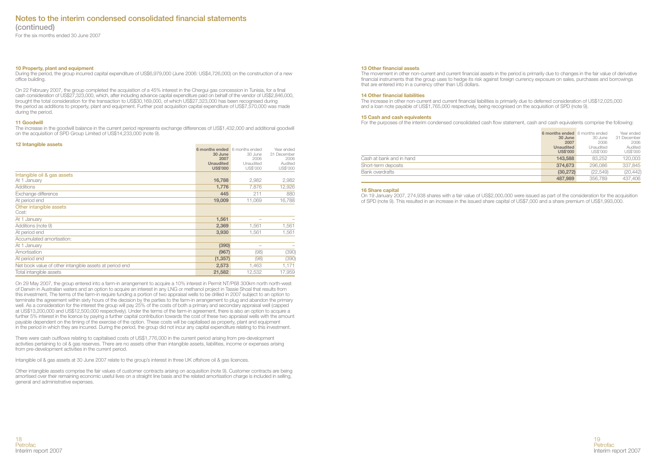**(continued)**

For the six months ended 30 June 2007

#### **10 Property, plant and equipment**

During the period, the group incurred capital expenditure of US\$6,979,000 (June 2006: US\$4,726,000) on the construction of a new office building.

On 22 February 2007, the group completed the acquisition of a 45% interest in the Chergui gas concession in Tunisia, for a final cash consideration of US\$27,323,000, which, after including advance capital expenditure paid on behalf of the vendor of US\$2,846,000, brought the total consideration for the transaction to US\$30,169,000, of which US\$27,323,000 has been recognised during the period as additions to property, plant and equipment. Further post acquisition capital expenditure of US\$7,570,000 was made during the period.

#### **11 Goodwill**

The increase in the goodwill balance in the current period represents exchange differences of US\$1,432,000 and additional goodwill on the acquisition of SPD Group Limited of US\$14,233,000 (note 9).

and the control of the control of

#### **12 Intangible assets**

|                                                         | 6 months ended 6 months ended<br>30 June<br>2007<br><b>Unaudited</b><br><b>US\$'000</b> | 30 June<br>2006<br>Unaudited<br>US\$'000 | Year ended<br>31 December<br>2006<br>Audited<br>US\$'000 |
|---------------------------------------------------------|-----------------------------------------------------------------------------------------|------------------------------------------|----------------------------------------------------------|
| Intangible oil & gas assets                             |                                                                                         |                                          |                                                          |
| At 1 January                                            | 16,788                                                                                  | 2,982                                    | 2,982                                                    |
| Additions                                               | 1.776                                                                                   | 7.876                                    | 12,926                                                   |
| Exchange difference                                     | 445                                                                                     | 211                                      | 880                                                      |
| At period end                                           | 19,009                                                                                  | 11,069                                   | 16.788                                                   |
| Other intangible assets<br>Cost:                        |                                                                                         |                                          |                                                          |
| At 1 January                                            | 1,561                                                                                   | $\overline{\phantom{a}}$                 |                                                          |
| Additions (note 9)                                      | 2,369                                                                                   | 1.561                                    | 1,561                                                    |
| At period end                                           | 3,930                                                                                   | 1,561                                    | 1,561                                                    |
| Accumulated amortisation:                               |                                                                                         |                                          |                                                          |
| At 1 January                                            | (390)                                                                                   |                                          |                                                          |
| Amortisation                                            | (967)                                                                                   | (98)                                     | (390)                                                    |
| At period end                                           | (1, 357)                                                                                | (98)                                     | (390)                                                    |
| Net book value of other intangible assets at period end | 2,573                                                                                   | 1,463                                    | 1,171                                                    |
| Total intangible assets                                 | 21,582                                                                                  | 12,532                                   | 17,959                                                   |

On 29 May 2007, the group entered into a farm-in arrangement to acquire a 10% interest in Permit NT/P68 300km north north-west of Darwin in Australian waters and an option to acquire an interest in any LNG or methanol project in Tassie Shoal that results from this investment. The terms of the farm-in require funding a portion of two appraisal wells to be drilled in 2007 subject to an option to terminate the agreement within sixty hours of the decision by the parties to the farm-in arrangement to plug and abandon the primary well. As a consideration for the interest the group will pay 25% of the costs of both a primary and secondary appraisal well (capped at US\$13,200,000 and US\$12,500,000 respectively). Under the terms of the farm-in agreement, there is also an option to acquire a further 5% interest in the licence by paying a further capital contribution towards the cost of these two appraisal wells with the amount payable dependent on the timing of the exercise of the option. These costs will be capitalised as property, plant and equipment in the period in which they are incurred. During the period, the group did not incur any capital expenditure relating to this investment.

There were cash outflows relating to capitalised costs of US\$1,776,000 in the current period arising from pre-development activities pertaining to oil & gas reserves. There are no assets other than intangible assets, liabilities, income or expenses arising from pre-development activities in the current period.

Intangible oil & gas assets at 30 June 2007 relate to the group's interest in three UK offshore oil & gas licences.

Other intangible assets comprise the fair values of customer contracts arising on acquisition (note 9). Customer contracts are being amortised over their remaining economic useful lives on a straight line basis and the related amortisation charge is included in selling, general and administrative expenses.

#### **13 Other financial assets**

The movement in other non-current and current financial assets in the period is primarily due to changes in the fair value of derivative financial instruments that the group uses to hedge its risk against foreign currency exposure on sales, purchases and borrowings that are entered into in a currency other than US dollars.

#### **14 Other financial liabilities**

The increase in other non-current and current financial liabilities is primarily due to deferred consideration of US\$12,025,000 and a loan note payable of US\$1,765,000 respectively, being recognised on the acquisition of SPD (note 9).

#### **15 Cash and cash equivalents**

For the purposes of the interim condensed consolidated cash flow statement, cash and cash equivalents comprise the following:

|                          | 6 months ended 6 months ended<br>30 June<br>2007<br><b>Unaudited</b><br><b>US\$'000</b> | 30 June<br>2006<br>Unaudited<br>US\$'000 | Year ended<br>31 December<br>2006<br>Audited<br>US\$'000 |
|--------------------------|-----------------------------------------------------------------------------------------|------------------------------------------|----------------------------------------------------------|
| Cash at bank and in hand | 143,588                                                                                 | 83.252                                   | 120,003                                                  |
| Short-term deposits      | 374,673                                                                                 | 296,086                                  | 337.845                                                  |
| Bank overdrafts          | (30.272)                                                                                | (22.549)                                 | (20.442)                                                 |
|                          | 487.989                                                                                 | 356,789                                  | 437,406                                                  |

#### **16 Share capital**

On 19 January 2007, 274,938 shares with a fair value of US\$2,000,000 were issued as part of the consideration for the acquisition of SPD (note 9). This resulted in an increase in the issued share capital of US\$7,000 and a share premium of US\$1,993,000.



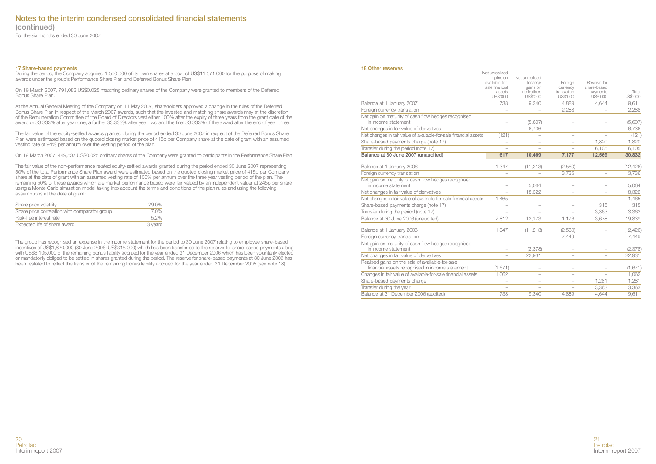**(continued)**

For the six months ended 30 June 2007

#### **17 Share-based payments**

During the period, the Company acquired 1,500,000 of its own shares at a cost of US\$11,571,000 for the purpose of making awards under the group's Performance Share Plan and Deferred Bonus Share Plan.

On 19 March 2007, 791,083 US\$0.025 matching ordinary shares of the Company were granted to members of the Deferred Bonus Share Plan.

At the Annual General Meeting of the Company on 11 May 2007, shareholders approved a change in the rules of the Deferred Bonus Share Plan in respect of the March 2007 awards, such that the invested and matching share awards may at the discretion of the Remuneration Committee of the Board of Directors vest either 100% after the expiry of three years from the grant date of the award or 33.333% after year one, a further 33.333% after year two and the final 33.333% of the award after the end of year three.

The fair value of the equity-settled awards granted during the period ended 30 June 2007 in respect of the Deferred Bonus Share Plan were estimated based on the quoted closing market price of 415p per Company share at the date of grant with an assumed vesting rate of 94% per annum over the vesting period of the plan.

On 19 March 2007, 449,537 US\$0.025 ordinary shares of the Company were granted to participants in the Performance Share Plan.

The fair value of the non-performance related equity-settled awards granted during the period ended 30 June 2007 representing 50% of the total Performance Share Plan award were estimated based on the quoted closing market price of 415p per Company share at the date of grant with an assumed vesting rate of 100% per annum over the three year vesting period of the plan. The remaining 50% of these awards which are market performance based were fair valued by an independent valuer at 245p per share using a Monte Carlo simulation model taking into account the terms and conditions of the plan rules and using the following assumptions at the date of grant:

| Share price volatility                        | 29.0%   |
|-----------------------------------------------|---------|
| Share price correlation with comparator group | 17.0%   |
| Risk-free interest rate                       | 52%     |
| Expected life of share award                  | 3 years |

The group has recognised an expense in the income statement for the period to 30 June 2007 relating to employee share-based incentives of US\$1,820,000 (30 June 2006: US\$315,000) which has been transferred to the reserve for share-based payments along with US\$6,105,000 of the remaining bonus liability accrued for the year ended 31 December 2006 which has been voluntarily elected or mandatorily obliged to be settled in shares granted during the period. The reserve for share-based payments at 30 June 2006 has been restated to reflect the transfer of the remaining bonus liability accrued for the year ended 31 December 2005 (see note 18).

#### **18 Other reserves**

|                                                                                                     | Net unrealised<br>gains on<br>available-for-<br>sale financial<br>assets<br>US\$'000 | Net unrealised<br>(losses)/<br>gains on<br>derivatives<br>US\$'000 | Foreign<br>currency<br>translation<br>US\$'000 | Reserve for<br>share-based<br>payments<br>US\$'000 | Total<br>US\$'000 |
|-----------------------------------------------------------------------------------------------------|--------------------------------------------------------------------------------------|--------------------------------------------------------------------|------------------------------------------------|----------------------------------------------------|-------------------|
| Balance at 1 January 2007                                                                           | 738                                                                                  | 9.340                                                              | 4.889                                          | 4.644                                              | 19,611            |
| Foreign currency translation                                                                        |                                                                                      |                                                                    | 2.288                                          |                                                    | 2,288             |
| Net gain on maturity of cash flow hedges recognised<br>in income statement                          |                                                                                      | (5,607)                                                            |                                                |                                                    | (5,607)           |
| Net changes in fair value of derivatives                                                            |                                                                                      | 6,736                                                              |                                                |                                                    | 6,736             |
| Net changes in fair value of available-for-sale financial assets                                    | (121)                                                                                |                                                                    |                                                |                                                    | (121)             |
| Share-based payments charge (note 17)                                                               |                                                                                      |                                                                    |                                                | 1.820                                              | 1.820             |
| Transfer during the period (note 17)                                                                |                                                                                      |                                                                    |                                                | 6.105                                              | 6,105             |
| Balance at 30 June 2007 (unaudited)                                                                 | 617                                                                                  | 10.469                                                             | 7.177                                          | 12,569                                             | 30,832            |
| Balance at 1 January 2006                                                                           | 1,347                                                                                | (11, 213)                                                          | (2,560)                                        |                                                    | (12, 426)         |
| Foreign currency translation                                                                        |                                                                                      |                                                                    | 3,736                                          |                                                    | 3,736             |
| Net gain on maturity of cash flow hedges recognised<br>in income statement                          |                                                                                      | 5.064                                                              |                                                |                                                    | 5.064             |
| Net changes in fair value of derivatives                                                            |                                                                                      | 18,322                                                             |                                                |                                                    | 18,322            |
| Net changes in fair value of available-for-sale financial assets                                    | 1.465                                                                                |                                                                    |                                                |                                                    | 1.465             |
| Share-based payments charge (note 17)                                                               |                                                                                      |                                                                    |                                                | 315                                                | 315               |
| Transfer during the period (note 17)                                                                |                                                                                      |                                                                    |                                                | 3.363                                              | 3.363             |
| Balance at 30 June 2006 (unaudited)                                                                 | 2.812                                                                                | 12,173                                                             | 1.176                                          | 3,678                                              | 19,839            |
| Balance at 1 January 2006                                                                           | 1,347                                                                                | (11, 213)                                                          | (2,560)                                        |                                                    | (12, 426)         |
| Foreign currency translation                                                                        |                                                                                      |                                                                    | 7.449                                          |                                                    | 7,449             |
| Net gain on maturity of cash flow hedges recognised<br>in income statement                          |                                                                                      | (2,378)                                                            |                                                |                                                    | (2, 378)          |
| Net changes in fair value of derivatives                                                            |                                                                                      | 22,931                                                             |                                                |                                                    | 22,931            |
| Realised gains on the sale of available-for-sale<br>financial assets recognised in income statement | (1,671)                                                                              |                                                                    |                                                |                                                    | (1,671)           |
| Changes in fair value of available-for-sale financial assets                                        | 1,062                                                                                | $\overline{\phantom{0}}$                                           |                                                |                                                    | 1,062             |
| Share-based payments charge                                                                         | $\overline{\phantom{a}}$                                                             |                                                                    |                                                | 1.281                                              | 1,281             |
| Transfer during the year                                                                            |                                                                                      |                                                                    |                                                | 3,363                                              | 3,363             |
| Balance at 31 December 2006 (audited)                                                               | 738                                                                                  | 9.340                                                              | 4.889                                          | 4.644                                              | 19,611            |
|                                                                                                     |                                                                                      |                                                                    |                                                |                                                    |                   |

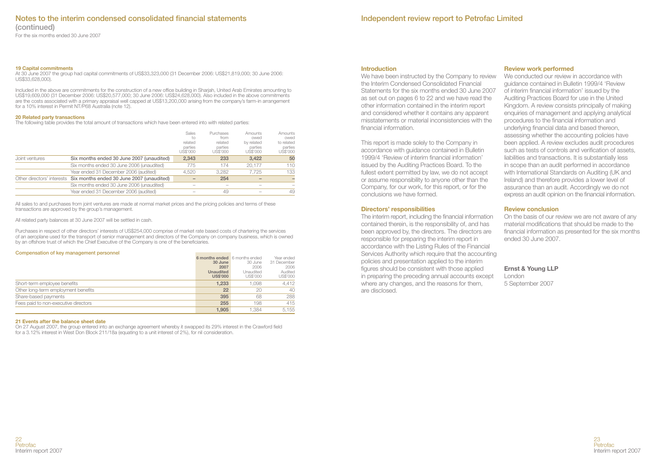For the six months ended 30 June 2007

#### **19 Capital commitments**

At 30 June 2007 the group had capital commitments of US\$33,323,000 (31 December 2006: US\$21,819,000; 30 June 2006: US\$33,628,000).

Included in the above are commitments for the construction of a new office building in Shariah, United Arab Emirates amounting to US\$19,609,000 (31 December 2006: US\$20,577,000; 30 June 2006: US\$24,628,000). Also included in the above commitments are the costs associated with a primary appraisal well capped at US\$13,200,000 arising from the company's farm-in arrangement for a 10% interest in Permit NT/P68 Australia (note 12).

#### **20 Related party transactions**

The following table provides the total amount of transactions which have been entered into with related parties:

|                |                                                                      | Sales<br>to<br>related<br>parties<br>US\$'000 | Purchases<br>from<br>related<br>parties<br>US\$'000 | Amounts<br>owed<br>by related<br>parties<br>US\$'000 | Amounts<br>owed<br>to related<br>parties<br>US\$'000 |
|----------------|----------------------------------------------------------------------|-----------------------------------------------|-----------------------------------------------------|------------------------------------------------------|------------------------------------------------------|
| Joint ventures | Six months ended 30 June 2007 (unaudited)                            | 2.343                                         | 233                                                 | 3.422                                                | 50                                                   |
|                | Six months ended 30 June 2006 (unaudited)                            | 775                                           | 174                                                 | 20.177                                               | 110                                                  |
|                | Year ended 31 December 2006 (audited)                                | 4.520                                         | 3.282                                               | 7.725                                                | 133                                                  |
|                | Other directors' interests Six months ended 30 June 2007 (unaudited) |                                               | 254                                                 |                                                      |                                                      |
|                | Six months ended 30 June 2006 (unaudited)                            |                                               |                                                     |                                                      |                                                      |
|                | Year ended 31 December 2006 (audited)                                |                                               | 49                                                  |                                                      | 49                                                   |

All sales to and purchases from joint ventures are made at normal market prices and the pricing policies and terms of these transactions are approved by the group's management.

All related party balances at 30 June 2007 will be settled in cash.

Purchases in respect of other directors' interests of US\$254,000 comprise of market rate based costs of chartering the services of an aeroplane used for the transport of senior management and directors of the Company on company business, which is owned by an offshore trust of which the Chief Executive of the Company is one of the beneficiaries.

#### **Compensation of key management personnel**

|                                      | 6 months ended 6 months ended |           | Year ended  |
|--------------------------------------|-------------------------------|-----------|-------------|
|                                      | 30 June                       | 30 June   | 31 December |
|                                      | 2007                          | 2006      | 2006        |
|                                      | <b>Unaudited</b>              | Unaudited | Audited     |
|                                      | <b>US\$'000</b>               | US\$'000  | US\$'000    |
| Short-term employee benefits         | 1.233                         | 1.098     | 4.412       |
| Other long-term employment benefits  | 22                            | 20        | 40          |
| Share-based payments                 | 395                           | 68        | 288         |
| Fees paid to non-executive directors | 255                           | 198       | 415         |
|                                      | 1.905                         | 1.384     | 5.155       |

#### **21 Events after the balance sheet date**

On 27 August 2007, the group entered into an exchange agreement whereby it swapped its 29% interest in the Crawford field for a 3.12% interest in West Don Block 211/18a (equating to a unit interest of 2%), for nil consideration.

#### **Introduction**

We have been instructed by the Company to review the Interim Condensed Consolidated Financial Statements for the six months ended 30 June 2007 as set out on pages 6 to 22 and we have read the other information contained in the interim report and considered whether it contains any apparent misstatements or material inconsistencies with the financial information.

This report is made solely to the Company in accordance with guidance contained in Bulletin 1999/4 'Review of interim financial information' issued by the Auditing Practices Board. To the fullest extent permitted by law, we do not accept or assume responsibility to anyone other than the Company, for our work, for this report, or for the conclusions we have formed.

## **Directors' responsibilities**

The interim report, including the financial information contained therein, is the responsibility of, and has been approved by, the directors. The directors are responsible for preparing the interim report in accordance with the Listing Rules of the Financial Services Authority which require that the accounting policies and presentation applied to the interim figures should be consistent with those applied in preparing the preceding annual accounts except where any changes, and the reasons for them, are disclosed.

## **Review work performed**

We conducted our review in accordance with guidance contained in Bulletin 1999/4 'Review of interim financial information' issued by the Auditing Practices Board for use in the United Kingdom. A review consists principally of making enquiries of management and applying analytical procedures to the financial information and underlying financial data and based thereon, assessing whether the accounting policies have been applied. A review excludes audit procedures such as tests of controls and verification of assets liabilities and transactions. It is substantially less in scope than an audit performed in accordance with International Standards on Auditing (UK and Ireland) and therefore provides a lower level of assurance than an audit. Accordingly we do not express an audit opinion on the financial information.

## **Review conclusion**

On the basis of our review we are not aware of any material modifications that should be made to the financial information as presented for the six months ended 30 June 2007.

## **Ernst & Young LLP**

London 5 September 2007

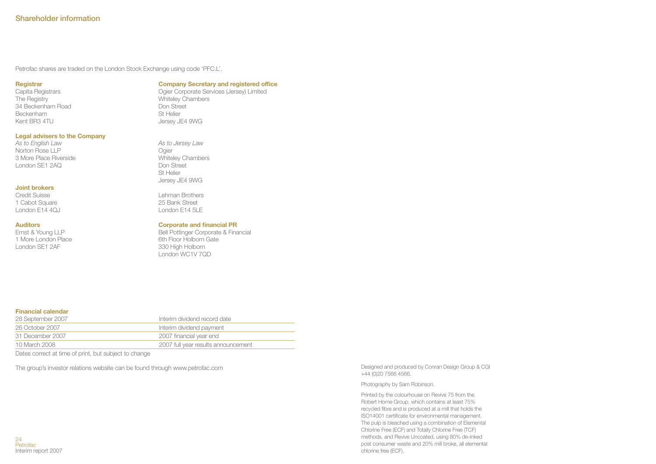Petrofac shares are traded on the London Stock Exchange using code 'PFC.L'.

#### **Registrar**

**Company Secretary and registered office**

Capita Registrars The Registry 34 Beckenham Road Beckenham Kent BR3 4TU

## **Legal advisers to the Company**

*As to English Law* Norton Rose LLP 3 More Place Riverside London SE1 2AQ

#### **Joint brokers**

Credit Suisse 1 Cabot Square London E14 4QJ

#### **Auditors**

Ernst & Young LLP 1 More London Place London SE1 2AF

## Ogier Corporate Services (Jersey) Limited

Whiteley Chambers Don Street St Helier Jersey JE4 9WG

*As to Jersey Law* Ogier Whiteley Chambers Don Street St Helier Jersey JE4 9WG

Lehman Brothers 25 Bank Street London E14 5LE

#### **Corporate and financial PR**

Bell Pottinger Corporate & Financial 6th Floor Holborn Gate 330 High Holborn London WC1V 7QD

#### **Financial calendar**

| 28 September 2007 | Interim dividend record date        |
|-------------------|-------------------------------------|
| 26 October 2007   | Interim dividend payment            |
| 31 December 2007  | 2007 financial year end             |
| 10 March 2008     | 2007 full year results announcement |

Dates correct at time of print, but subject to change

The group's investor relations website can be found through www.petrofac.com

Designed and produced by Conran Design Group & CGI +44 (0)20 7566 4566.

#### Photography by Sam Robinson.

Printed by the colourhouse on Revive 75 from the Robert Horne Group, which contains at least 75% recycled fibre and is produced at a mill that holds the ISO14001 certificate for environmental management. The pulp is bleached using a combination of Elemental Chlorine Free (ECF) and Totally Chlorine Free (TCF) methods, and Revive Uncoated, using 80% de-inked post consumer waste and 20% mill broke, all elemental chlorine free (ECF).